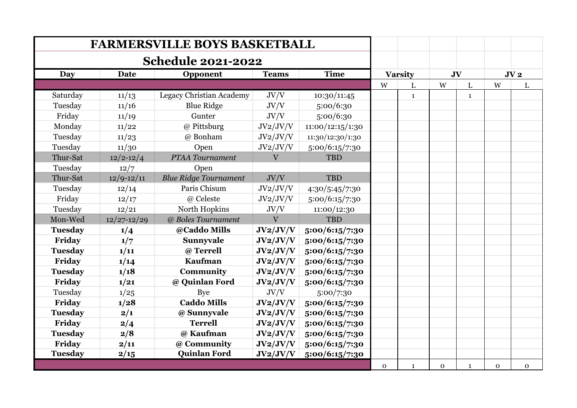|                |                 | <b>FARMERSVILLE BOYS BASKETBALL</b> |                         |                  |          |                |              |              |              |                 |
|----------------|-----------------|-------------------------------------|-------------------------|------------------|----------|----------------|--------------|--------------|--------------|-----------------|
|                |                 | <b>Schedule 2021-2022</b>           |                         |                  |          |                |              |              |              |                 |
| Day            | <b>Date</b>     | Opponent                            | <b>Teams</b>            | <b>Time</b>      |          | <b>Varsity</b> | JV           |              |              | JV <sub>2</sub> |
|                |                 |                                     |                         |                  | W        | L              | W            | L            | W            | L               |
| Saturday       | 11/13           | Legacy Christian Academy            | JV/V                    | 10:30/11:45      |          | $\mathbf{1}$   |              | $\mathbf{1}$ |              |                 |
| Tuesday        | 11/16           | <b>Blue Ridge</b>                   | JV/V                    | 5:00/6:30        |          |                |              |              |              |                 |
| Friday         | 11/19           | Gunter                              | JV/V                    | 5:00/6:30        |          |                |              |              |              |                 |
| Monday         | 11/22           | @ Pittsburg                         | JV2/JV/V                | 11:00/12:15/1:30 |          |                |              |              |              |                 |
| Tuesday        | 11/23           | @ Bonham                            | JV2/JV/V                | 11:30/12:30/1:30 |          |                |              |              |              |                 |
| Tuesday        | 11/30           | Open                                | JV2/JV/V                | 5:00/6:15/7:30   |          |                |              |              |              |                 |
| Thur-Sat       | $12/2 - 12/4$   | PTAA Tournament                     | $\mathbf{V}$            | <b>TBD</b>       |          |                |              |              |              |                 |
| Tuesday        | 12/7            | Open                                |                         |                  |          |                |              |              |              |                 |
| Thur-Sat       | $12/9 - 12/11$  | <b>Blue Ridge Tournament</b>        | JV/V                    | <b>TBD</b>       |          |                |              |              |              |                 |
| Tuesday        | 12/14           | Paris Chisum                        | JV2/JV/V                | 4:30/5:45/7:30   |          |                |              |              |              |                 |
| Friday         | 12/17           | @ Celeste                           | JV2/JV/V                | 5:00/6:15/7:30   |          |                |              |              |              |                 |
| Tuesday        | 12/21           | North Hopkins                       | JV/V                    | 11:00/12:30      |          |                |              |              |              |                 |
| Mon-Wed        | $12/27 - 12/29$ | @ Boles Tournament                  | $\overline{\mathbf{V}}$ | <b>TBD</b>       |          |                |              |              |              |                 |
| <b>Tuesday</b> | 1/4             | @Caddo Mills                        | JV2/JV/V                | 5:00/6:15/7:30   |          |                |              |              |              |                 |
| Friday         | 1/7             | Sunnyvale                           | JV2/JV/V                | 5:00/6:15/7:30   |          |                |              |              |              |                 |
| <b>Tuesday</b> | 1/11            | @ Terrell                           | JV2/JV/V                | 5:00/6:15/7:30   |          |                |              |              |              |                 |
| Friday         | 1/14            | <b>Kaufman</b>                      | JV2/JV/V                | 5:00/6:15/7:30   |          |                |              |              |              |                 |
| <b>Tuesday</b> | 1/18            | Community                           | JV2/JV/V                | 5:00/6:15/7:30   |          |                |              |              |              |                 |
| Friday         | 1/21            | @ Quinlan Ford                      | JV2/JV/V                | 5:00/6:15/7:30   |          |                |              |              |              |                 |
| Tuesday        | 1/25            | <b>Bye</b>                          | JV/V                    | 5:00/7:30        |          |                |              |              |              |                 |
| Friday         | 1/28            | <b>Caddo Mills</b>                  | JV2/JV/V                | 5:00/6:15/7:30   |          |                |              |              |              |                 |
| <b>Tuesday</b> | 2/1             | @ Sunnyvale                         | JV2/JV/V                | 5:00/6:15/7:30   |          |                |              |              |              |                 |
| Friday         | 2/4             | <b>Terrell</b>                      | JV2/JV/V                | 5:00/6:15/7:30   |          |                |              |              |              |                 |
| <b>Tuesday</b> | 2/8             | @ Kaufman                           | JV2/JV/V                | 5:00/6:15/7:30   |          |                |              |              |              |                 |
| Friday         | 2/11            | @ Community                         | JV2/JV/V                | 5:00/6:15/7:30   |          |                |              |              |              |                 |
| <b>Tuesday</b> | 2/15            | <b>Quinlan Ford</b>                 | JV2/JV/V                | 5:00/6:15/7:30   |          |                |              |              |              |                 |
|                |                 |                                     |                         |                  | $\Omega$ | $\mathbf{1}$   | $\mathbf{O}$ | $\mathbf{1}$ | $\mathbf{O}$ | $\Omega$        |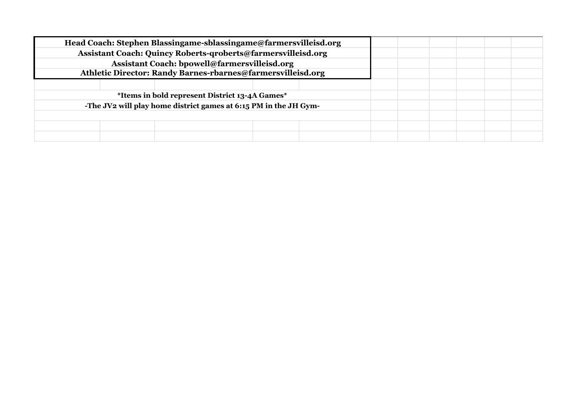| Head Coach: Stephen Blassingame-sblassingame@farmersvilleisd.org |  |  |  |
|------------------------------------------------------------------|--|--|--|
| Assistant Coach: Quincy Roberts-qroberts@farmersvilleisd.org     |  |  |  |
| Assistant Coach: bpowell@farmersvilleisd.org                     |  |  |  |
| Athletic Director: Randy Barnes-rbarnes@farmersvilleisd.org      |  |  |  |
|                                                                  |  |  |  |
| *Items in bold represent District 13-4A Games*                   |  |  |  |
| -The JV2 will play home district games at 6:15 PM in the JH Gym- |  |  |  |
|                                                                  |  |  |  |
|                                                                  |  |  |  |
|                                                                  |  |  |  |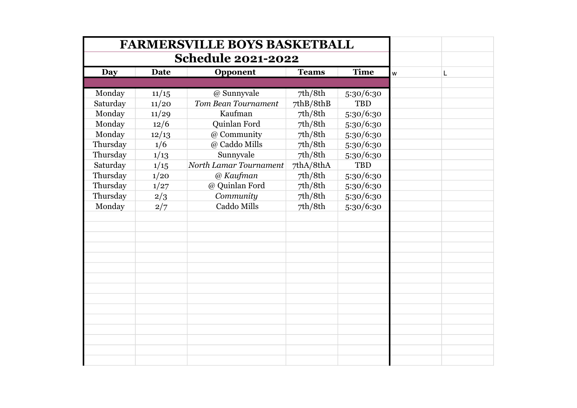|            |             | <b>FARMERSVILLE BOYS BASKETBALL</b> |              |             |   |   |
|------------|-------------|-------------------------------------|--------------|-------------|---|---|
|            |             | <b>Schedule 2021-2022</b>           |              |             |   |   |
| <b>Day</b> | <b>Date</b> | Opponent                            | <b>Teams</b> | <b>Time</b> | W | L |
|            |             |                                     |              |             |   |   |
| Monday     | 11/15       | @ Sunnyvale                         | 7th/8th      | 5:30/6:30   |   |   |
| Saturday   | 11/20       | Tom Bean Tournament                 | 7thB/8thB    | <b>TBD</b>  |   |   |
| Monday     | 11/29       | Kaufman                             | 7th/8th      | 5:30/6:30   |   |   |
| Monday     | 12/6        | Quinlan Ford                        | 7th/8th      | 5:30/6:30   |   |   |
| Monday     | 12/13       | @ Community                         | 7th/8th      | 5:30/6:30   |   |   |
| Thursday   | 1/6         | @ Caddo Mills                       | 7th/8th      | 5:30/6:30   |   |   |
| Thursday   | 1/13        | Sunnyvale                           | 7th/8th      | 5:30/6:30   |   |   |
| Saturday   | 1/15        | North Lamar Tournament              | 7thA/8thA    | <b>TBD</b>  |   |   |
| Thursday   | 1/20        | @ Kaufman                           | 7th/8th      | 5:30/6:30   |   |   |
| Thursday   | 1/27        | @ Quinlan Ford                      | 7th/8th      | 5:30/6:30   |   |   |
| Thursday   | 2/3         | Community                           | 7th/8th      | 5:30/6:30   |   |   |
| Monday     | 2/7         | Caddo Mills                         | 7th/8th      | 5:30/6:30   |   |   |
|            |             |                                     |              |             |   |   |
|            |             |                                     |              |             |   |   |
|            |             |                                     |              |             |   |   |
|            |             |                                     |              |             |   |   |
|            |             |                                     |              |             |   |   |
|            |             |                                     |              |             |   |   |
|            |             |                                     |              |             |   |   |
|            |             |                                     |              |             |   |   |
|            |             |                                     |              |             |   |   |
|            |             |                                     |              |             |   |   |
|            |             |                                     |              |             |   |   |
|            |             |                                     |              |             |   |   |
|            |             |                                     |              |             |   |   |
|            |             |                                     |              |             |   |   |
|            |             |                                     |              |             |   |   |